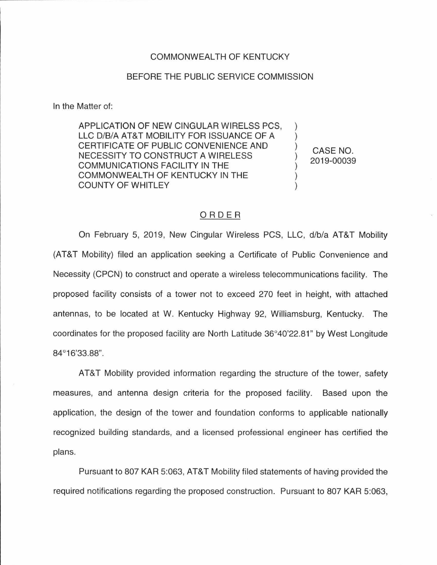## COMMONWEALTH OF KENTUCKY

## BEFORE THE PUBLIC SERVICE COMMISSION

In the Matter of:

APPLICATION OF NEW CINGULAR WIRELSS PCS, LLC D/B/A AT&T MOBILITY FOR ISSUANCE OF A CERTIFICATE OF PUBLIC CONVENIENCE AND NECESSITY TO CONSTRUCT A WIRELESS COMMUNICATIONS FACILITY IN THE COMMONWEALTH OF KENTUCKY IN THE COUNTY OF WHITLEY

CASE NO. 2019-00039

 $\mathcal{E}$ 

## ORDER

On February 5, 2019, New Cingular Wireless PCS, LLC, d/b/a AT&T Mobility (AT&T Mobility) filed an application seeking a Certificate of Public Convenience and Necessity (CPCN) to construct and operate a wireless telecommunications facility. The proposed facility consists of a tower not to exceed 270 feet in height, with attached antennas, to be located at W. Kentucky Highway 92, Williamsburg, Kentucky. The coordinates for the proposed facility are North Latitude 36°40'22.81 " by West Longitude 84°16'33.88".

AT&T Mobility provided information regarding the structure of the tower, safety measures, and antenna design criteria for the proposed facility. Based upon the application, the design of the tower and foundation conforms to applicable nationally recognized building standards, and a licensed professional engineer has certified the plans.

Pursuant to 807 KAR 5:063, AT&T Mobility filed statements of having provided the required notifications regarding the proposed construction. Pursuant to 807 KAR 5:063,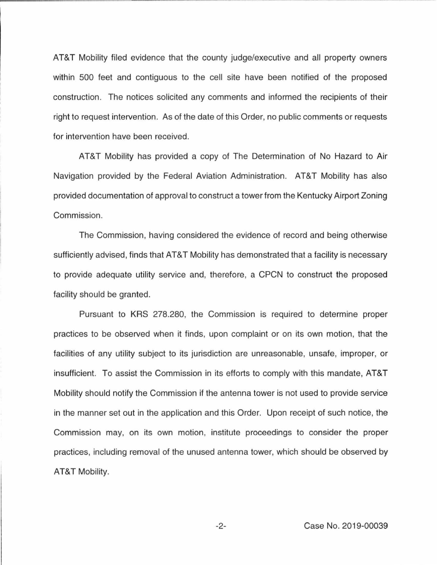AT&T Mobility filed evidence that the county judge/executive and all property owners within 500 feet and contiguous to the cell site have been notified of the proposed construction. The notices solicited any comments and informed the recipients of their right to request intervention. As of the date of this Order, no public comments or requests for intervention have been received.

AT&T Mobility has provided a copy of The Determination of No Hazard to Air Navigation provided by the Federal Aviation Administration. AT&T Mobility has also provided documentation of approval to construct a tower from the Kentucky Airport Zoning Commission.

The Commission, having considered the evidence of record and being otherwise sufficiently advised, finds that AT&T Mobility has demonstrated that a facility is necessary to provide adequate utility service and, therefore, a CPCN to construct the proposed facility should be granted.

Pursuant to KRS 278.280, the Commission is required to determine proper practices to be observed when it finds, upon complaint or on its own motion, that the facilities of any utility subject to its jurisdiction are unreasonable, unsafe, improper, or insufficient. To assist the Commission in its efforts to comply with this mandate, AT&T Mobility should notify the Commission if the antenna tower is not used to provide service in the manner set out in the application and this Order. Upon receipt of such notice, the Commission may, on its own motion, institute proceedings to consider the proper practices, including removal of the unused antenna tower, which should be observed by AT&T Mobility.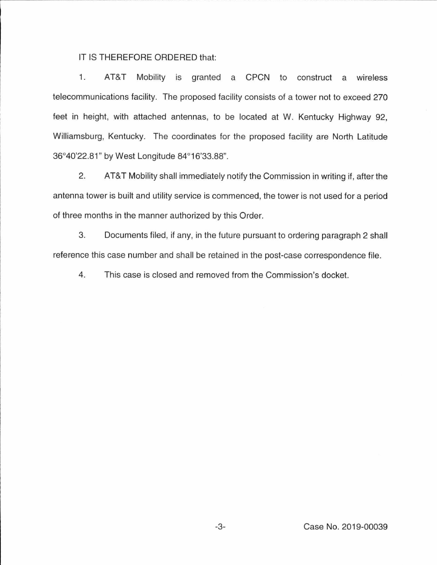## IT IS THEREFORE ORDERED that:

1. AT&T Mobility is granted a CPCN to construct a wireless telecommunications facility. The proposed facility consists of a tower not to exceed 270 feet in height, with attached antennas, to be located at W. Kentucky Highway 92, Williamsburg, Kentucky. The coordinates for the proposed facility are North Latitude 36°40'22.81" by West Longitude 84°16'33.88".

2. AT&T Mobility shall immediately notify the Commission in writing if, after the antenna tower is built and utility service is commenced, the tower is not used for a period of three months in the manner authorized by this Order.

3. Documents filed, if any, in the future pursuant to ordering paragraph 2 shall reference this case number and shall be retained in the post-case correspondence file.

4. This case is closed and removed from the Commission's docket.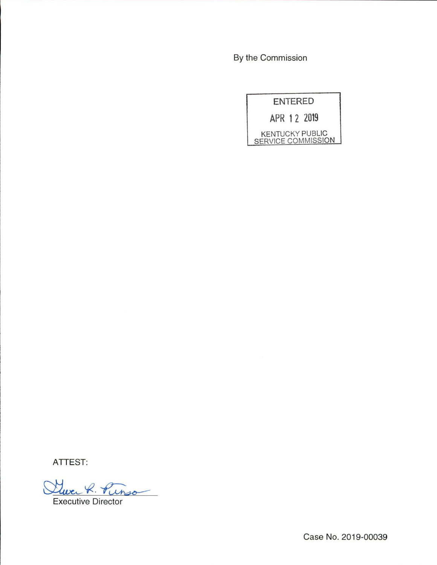By the Commission

| <b>ENTERED</b> |                                                     |
|----------------|-----------------------------------------------------|
|                | APR 1 2 2019                                        |
|                | <b>KENTUCKY PUBLIC</b><br><b>SERVICE COMMISSION</b> |

ATTEST:

Que R. Pinso

Executive Director

Case No. 2019-00039